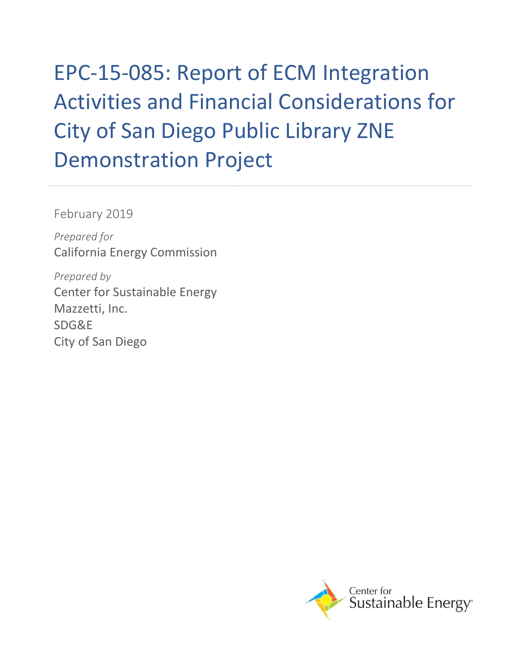# EPC-15-085: Report of ECM Integration Activities and Financial Considerations for City of San Diego Public Library ZNE Demonstration Project

February 2019

*Prepared for* California Energy Commission

*Prepared by* Center for Sustainable Energy Mazzetti, Inc. SDG&E City of San Diego

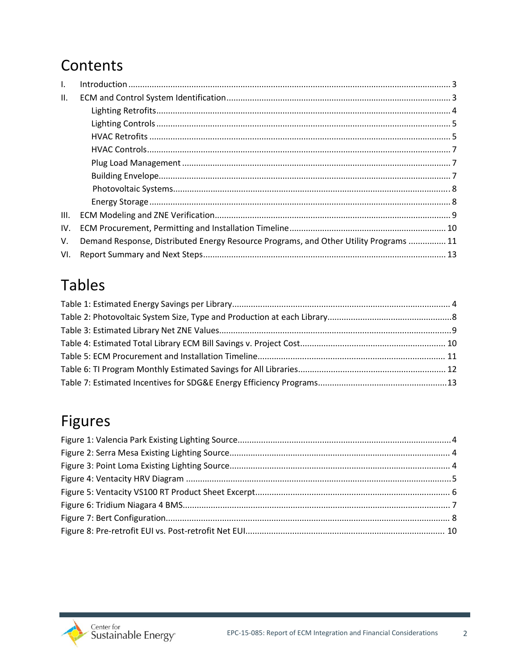## Contents

| $\mathbf{L}$ |                                                                                       |  |
|--------------|---------------------------------------------------------------------------------------|--|
| Ш.           |                                                                                       |  |
|              |                                                                                       |  |
|              |                                                                                       |  |
|              |                                                                                       |  |
|              |                                                                                       |  |
|              |                                                                                       |  |
|              |                                                                                       |  |
|              |                                                                                       |  |
|              |                                                                                       |  |
| III.         |                                                                                       |  |
| IV.          |                                                                                       |  |
| V.           | Demand Response, Distributed Energy Resource Programs, and Other Utility Programs  11 |  |
| VI.          |                                                                                       |  |

## **Tables**

## Figures

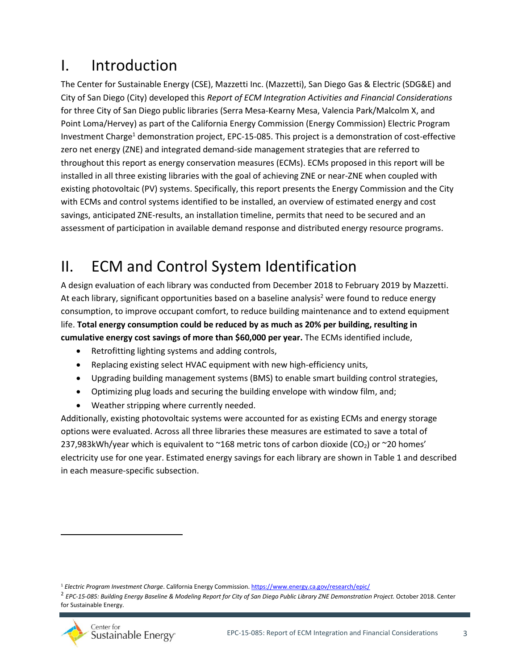## <span id="page-2-0"></span>I. Introduction

The Center for Sustainable Energy (CSE), Mazzetti Inc. (Mazzetti), San Diego Gas & Electric (SDG&E) and City of San Diego (City) developed this *Report of ECM Integration Activities and Financial Considerations* for three City of San Diego public libraries (Serra Mesa-Kearny Mesa, Valencia Park/Malcolm X, and Point Loma/Hervey) as part of the California Energy Commission (Energy Commission) Electric Program Investment Charge<sup>1</sup> demonstration project, EPC-15-085. This project is a demonstration of cost-effective zero net energy (ZNE) and integrated demand-side management strategies that are referred to throughout this report as energy conservation measures (ECMs). ECMs proposed in this report will be installed in all three existing libraries with the goal of achieving ZNE or near-ZNE when coupled with existing photovoltaic (PV) systems. Specifically, this report presents the Energy Commission and the City with ECMs and control systems identified to be installed, an overview of estimated energy and cost savings, anticipated ZNE-results, an installation timeline, permits that need to be secured and an assessment of participation in available demand response and distributed energy resource programs.

## <span id="page-2-1"></span>II. ECM and Control System Identification

A design evaluation of each library was conducted from December 2018 to February 2019 by Mazzetti. At each library, significant opportunities based on a baseline analysis<sup>2</sup> were found to reduce energy consumption, to improve occupant comfort, to reduce building maintenance and to extend equipment life. **Total energy consumption could be reduced by as much as 20% per building, resulting in cumulative energy cost savings of more than \$60,000 per year.** The ECMs identified include,

- Retrofitting lighting systems and adding controls,
- Replacing existing select HVAC equipment with new high-efficiency units,
- Upgrading building management systems (BMS) to enable smart building control strategies,
- Optimizing plug loads and securing the building envelope with window film, and;
- Weather stripping where currently needed.

Additionally, existing photovoltaic systems were accounted for as existing ECMs and energy storage options were evaluated. Across all three libraries these measures are estimated to save a total of 237,983kWh/year which is equivalent to  $\sim$ 168 metric tons of carbon dioxide (CO<sub>2</sub>) or  $\sim$ 20 homes' electricity use for one year. Estimated energy savings for each library are shown in Table 1 and described in each measure-specific subsection.

<sup>2</sup> *EPC-15-085: Building Energy Baseline & Modeling Report for City of San Diego Public Library ZNE Demonstration Project.* October 2018. Center for Sustainable Energy.



<sup>1</sup> *Electric Program Investment Charge*. California Energy Commission[. https://www.energy.ca.gov/research/epic/](https://www.energy.ca.gov/research/epic/)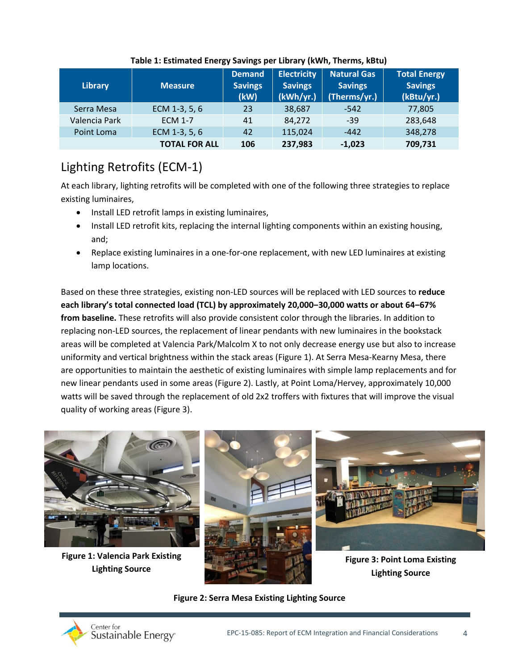| <b>Library</b> | Measure              | <b>Demand</b><br><b>Savings</b><br>(kW) | <b>Electricity</b><br><b>Savings</b><br>(kWh/yr.) | <b>Natural Gas</b><br><b>Savings</b><br>(Therms/yr.) | <b>Total Energy</b><br><b>Savings</b><br>(kBtu/yr.) |
|----------------|----------------------|-----------------------------------------|---------------------------------------------------|------------------------------------------------------|-----------------------------------------------------|
| Serra Mesa     | ECM 1-3, 5, 6        | 23                                      | 38,687                                            | -542                                                 | 77,805                                              |
| Valencia Park  | <b>ECM 1-7</b>       | 41                                      | 84,272                                            | $-39$                                                | 283,648                                             |
| Point Loma     | ECM 1-3, 5, 6        | 42                                      | 115,024                                           | $-442$                                               | 348,278                                             |
|                | <b>TOTAL FOR ALL</b> | 106                                     | 237,983                                           | $-1,023$                                             | 709,731                                             |

### **Table 1: Estimated Energy Savings per Library (kWh, Therms, kBtu)**

### <span id="page-3-0"></span>Lighting Retrofits (ECM-1)

At each library, lighting retrofits will be completed with one of the following three strategies to replace existing luminaires,

- Install LED retrofit lamps in existing luminaires,
- Install LED retrofit kits, replacing the internal lighting components within an existing housing, and;
- Replace existing luminaires in a one-for-one replacement, with new LED luminaires at existing lamp locations.

Based on these three strategies, existing non-LED sources will be replaced with LED sources to **reduce each library's total connected load (TCL) by approximately 20,000‒30,000 watts or about 64‒67% from baseline.** These retrofits will also provide consistent color through the libraries. In addition to replacing non-LED sources, the replacement of linear pendants with new luminaires in the bookstack areas will be completed at Valencia Park/Malcolm X to not only decrease energy use but also to increase uniformity and vertical brightness within the stack areas (Figure 1). At Serra Mesa-Kearny Mesa, there are opportunities to maintain the aesthetic of existing luminaires with simple lamp replacements and for new linear pendants used in some areas (Figure 2). Lastly, at Point Loma/Hervey, approximately 10,000 watts will be saved through the replacement of old 2x2 troffers with fixtures that will improve the visual quality of working areas (Figure 3).



**Lighting Source**

### **Figure 2: Serra Mesa Existing Lighting Source**

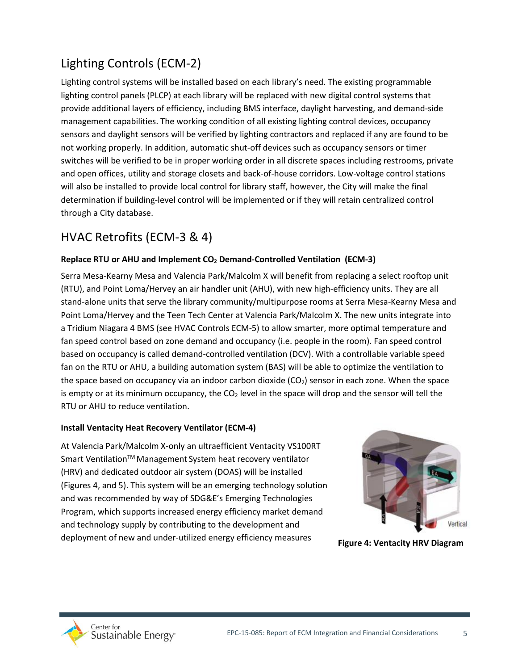### Lighting Controls (ECM-2)

Lighting control systems will be installed based on each library's need. The existing programmable lighting control panels (PLCP) at each library will be replaced with new digital control systems that provide additional layers of efficiency, including BMS interface, daylight harvesting, and demand-side management capabilities. The working condition of all existing lighting control devices, occupancy sensors and daylight sensors will be verified by lighting contractors and replaced if any are found to be not working properly. In addition, automatic shut-off devices such as occupancy sensors or timer switches will be verified to be in proper working order in all discrete spaces including restrooms, private and open offices, utility and storage closets and back-of-house corridors. Low-voltage control stations will also be installed to provide local control for library staff, however, the City will make the final determination if building-level control will be implemented or if they will retain centralized control through a City database.

### HVAC Retrofits (ECM-3 & 4)

### **Replace RTU or AHU and Implement CO<sup>2</sup> Demand-Controlled Ventilation (ECM-3)**

Serra Mesa-Kearny Mesa and Valencia Park/Malcolm X will benefit from replacing a select rooftop unit (RTU), and Point Loma/Hervey an air handler unit (AHU), with new high-efficiency units. They are all stand-alone units that serve the library community/multipurpose rooms at Serra Mesa-Kearny Mesa and Point Loma/Hervey and the Teen Tech Center at Valencia Park/Malcolm X. The new units integrate into a Tridium Niagara 4 BMS (see HVAC Controls ECM-5) to allow smarter, more optimal temperature and fan speed control based on zone demand and occupancy (i.e. people in the room). Fan speed control based on occupancy is called demand-controlled ventilation (DCV). With a controllable variable speed fan on the RTU or AHU, a building automation system (BAS) will be able to optimize the ventilation to the space based on occupancy via an indoor carbon dioxide (CO<sub>2</sub>) sensor in each zone. When the space is empty or at its minimum occupancy, the  $CO<sub>2</sub>$  level in the space will drop and the sensor will tell the RTU or AHU to reduce ventilation.

#### <span id="page-4-0"></span>**Install Ventacity Heat Recovery Ventilator (ECM-4)**

At Valencia Park/Malcolm X-only an ultraefficient Ventacity VS100RT Smart Ventilation™ Management System heat recovery ventilator (HRV) and dedicated outdoor air system (DOAS) will be installed (Figures 4, and 5). This system will be an emerging technology solution and was recommended by way of SDG&E's Emerging Technologies Program, which supports increased energy efficiency market demand and technology supply by contributing to the development and deployment of new and under-utilized energy efficiency measures **Figure 4: Ventacity HRV Diagram**



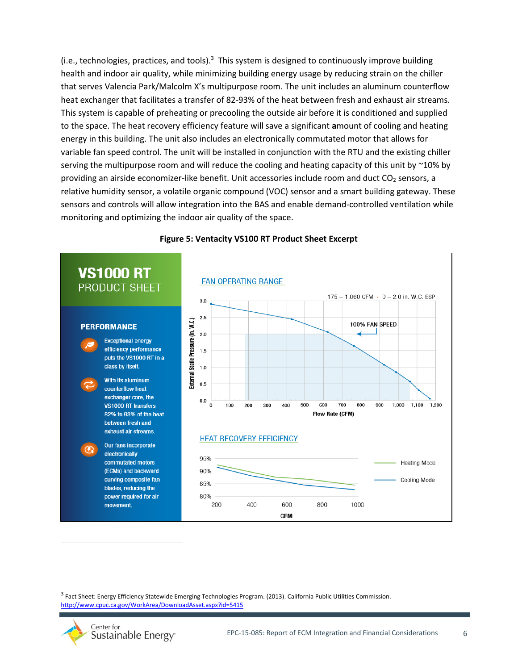(i.e., technologies, practices, and tools). $3$  This system is designed to continuously improve building health and indoor air quality, while minimizing building energy usage by reducing strain on the chiller that serves Valencia Park/Malcolm X's multipurpose room. The unit includes an aluminum counterflow heat exchanger that facilitates a transfer of 82-93% of the heat between fresh and exhaust air streams. This system is capable of preheating or precooling the outside air before it is conditioned and supplied to the space. The heat recovery efficiency feature will save a significant **a**mount of cooling and heating energy in this building. The unit also includes an electronically commutated motor that allows for variable fan speed control. The unit will be installed in conjunction with the RTU and the existing chiller serving the multipurpose room and will reduce the cooling and heating capacity of this unit by ~10% by providing an airside economizer-like benefit. Unit accessories include room and duct  $CO<sub>2</sub>$  sensors, a relative humidity sensor, a volatile organic compound (VOC) sensor and a smart building gateway. These sensors and controls will allow integration into the BAS and enable demand-controlled ventilation while monitoring and optimizing the indoor air quality of the space.



#### **Figure 5: Ventacity VS100 RT Product Sheet Excerpt**

3 Fact Sheet: Energy Efficiency Statewide Emerging Technologies Program. (2013). California Public Utilities Commission. <http://www.cpuc.ca.gov/WorkArea/DownloadAsset.aspx?id=5415>

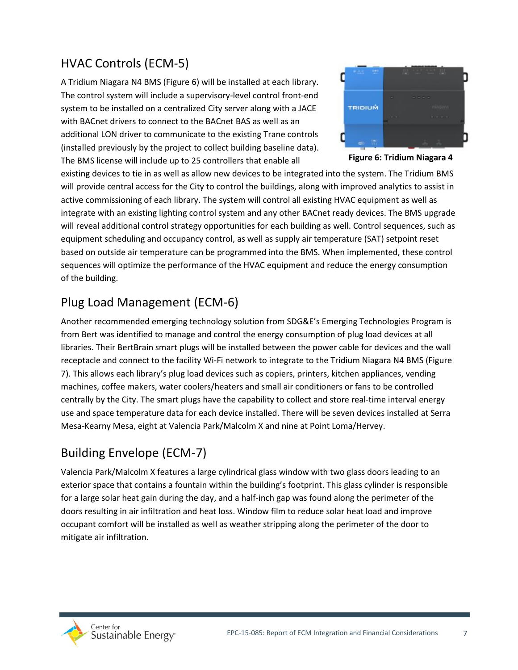### HVAC Controls (ECM-5)

A Tridium Niagara N4 BMS (Figure 6) will be installed at each library. The control system will include a supervisory-level control front-end system to be installed on a centralized City server along with a JACE with BACnet drivers to connect to the BACnet BAS as well as an additional LON driver to communicate to the existing Trane controls (installed previously by the project to collect building baseline data). The BMS license will include up to 25 controllers that enable all



**Figure 6: Tridium Niagara 4** 

existing devices to tie in as well as allow new devices to be integrated into the system. The Tridium BMS **BMS**will provide central access for the City to control the buildings, along with improved analytics to assist in active commissioning of each library. The system will control all existing HVAC equipment as well as integrate with an existing lighting control system and any other BACnet ready devices. The BMS upgrade will reveal additional control strategy opportunities for each building as well. Control sequences, such as equipment scheduling and occupancy control, as well as supply air temperature (SAT) setpoint reset based on outside air temperature can be programmed into the BMS. When implemented, these control sequences will optimize the performance of the HVAC equipment and reduce the energy consumption of the building.

### Plug Load Management (ECM-6)

Another recommended emerging technology solution from SDG&E's Emerging Technologies Program is from Bert was identified to manage and control the energy consumption of plug load devices at all libraries. Their BertBrain smart plugs will be installed between the power cable for devices and the wall receptacle and connect to the facility Wi-Fi network to integrate to the Tridium Niagara N4 BMS (Figure 7). This allows each library's plug load devices such as copiers, printers, kitchen appliances, vending machines, coffee makers, water coolers/heaters and small air conditioners or fans to be controlled centrally by the City. The smart plugs have the capability to collect and store real-time interval energy use and space temperature data for each device installed. There will be seven devices installed at Serra Mesa-Kearny Mesa, eight at Valencia Park/Malcolm X and nine at Point Loma/Hervey.

### Building Envelope (ECM-7)

Valencia Park/Malcolm X features a large cylindrical glass window with two glass doors leading to an exterior space that contains a fountain within the building's footprint. This glass cylinder is responsible for a large solar heat gain during the day, and a half-inch gap was found along the perimeter of the doors resulting in air infiltration and heat loss. Window film to reduce solar heat load and improve occupant comfort will be installed as well as weather stripping along the perimeter of the door to mitigate air infiltration.

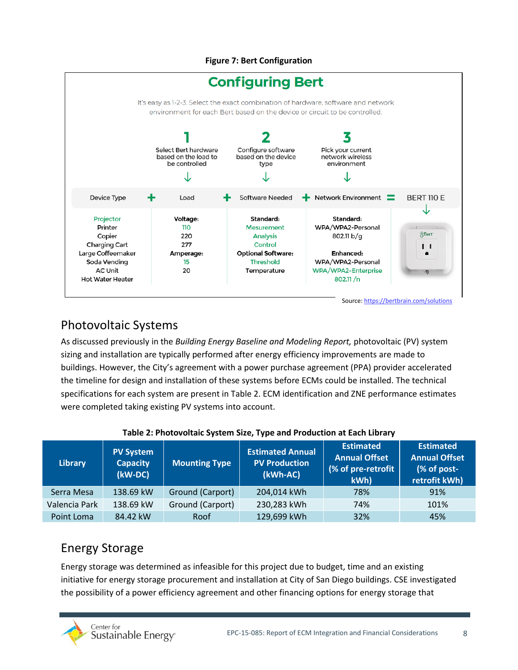#### **Figure 7: Bert Configuration**



### Photovoltaic Systems

As discussed previously in the *Building Energy Baseline and Modeling Report,* photovoltaic (PV) system sizing and installation are typically performed after energy efficiency improvements are made to buildings. However, the City's agreement with a power purchase agreement (PPA) provider accelerated the timeline for design and installation of these systems before ECMs could be installed. The technical specifications for each system are present in Table 2. ECM identification and ZNE performance estimates were completed taking existing PV systems into account.

| <b>Library</b> | <b>PV System</b><br><b>Capacity</b><br>(kW-DC) | <b>Mounting Type</b> | <b>Estimated Annual</b><br><b>PV Production</b><br>(kWh-AC) | <b>Estimated</b><br><b>Annual Offset</b><br>(% of pre-retrofit<br>kWh) | <b>Estimated</b><br><b>Annual Offset</b><br>(% of post-<br>retrofit kWh) |
|----------------|------------------------------------------------|----------------------|-------------------------------------------------------------|------------------------------------------------------------------------|--------------------------------------------------------------------------|
| Serra Mesa     | 138.69 kW                                      | Ground (Carport)     | 204,014 kWh                                                 | 78%                                                                    | 91%                                                                      |
| Valencia Park  | 138.69 kW                                      | Ground (Carport)     | 230,283 kWh                                                 | 74%                                                                    | 101%                                                                     |
| Point Loma     | 84.42 kW                                       | Roof                 | 129,699 kWh                                                 | 32%                                                                    | 45%                                                                      |

#### **Table 2: Photovoltaic System Size, Type and Production at Each Library**

### Energy Storage

Energy storage was determined as infeasible for this project due to budget, time and an existing initiative for energy storage procurement and installation at City of San Diego buildings. CSE investigated the possibility of a power efficiency agreement and other financing options for energy storage that

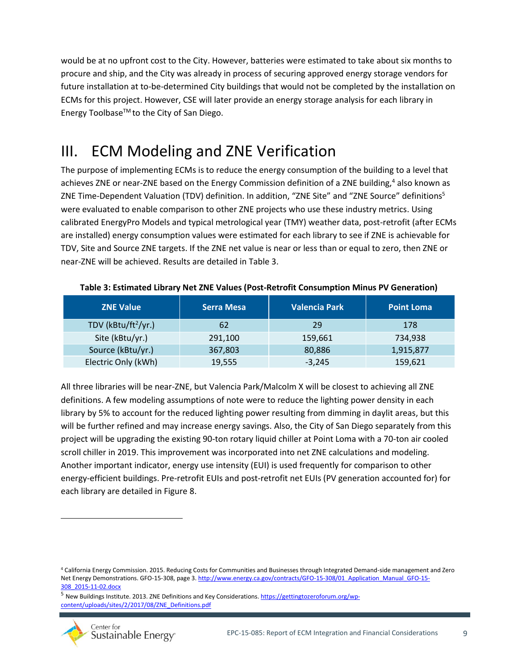would be at no upfront cost to the City. However, batteries were estimated to take about six months to procure and ship, and the City was already in process of securing approved energy storage vendors for future installation at to-be-determined City buildings that would not be completed by the installation on ECMs for this project. However, CSE will later provide an energy storage analysis for each library in Energy Toolbase™ to the City of San Diego.

## <span id="page-8-0"></span>III. ECM Modeling and ZNE Verification

The purpose of implementing ECMs is to reduce the energy consumption of the building to a level that achieves ZNE or near-ZNE based on the Energy Commission definition of a ZNE building,<sup>4</sup> also known as ZNE Time-Dependent Valuation (TDV) definition. In addition, "ZNE Site" and "ZNE Source" definitions<sup>5</sup> were evaluated to enable comparison to other ZNE projects who use these industry metrics. Using calibrated EnergyPro Models and typical metrological year (TMY) weather data, post-retrofit (after ECMs are installed) energy consumption values were estimated for each library to see if ZNE is achievable for TDV, Site and Source ZNE targets. If the ZNE net value is near or less than or equal to zero, then ZNE or near-ZNE will be achieved. Results are detailed in Table 3.

| <b>ZNE Value</b>        | <b>Serra Mesa</b> | <b>Valencia Park</b> | <b>Point Loma</b> |
|-------------------------|-------------------|----------------------|-------------------|
| TDV ( $kBtu/ft^2/yr.$ ) | 62                | 29                   | 178               |
| Site (kBtu/yr.)         | 291,100           | 159,661              | 734.938           |
| Source (kBtu/yr.)       | 367,803           | 80,886               | 1,915,877         |
| Electric Only (kWh)     | 19,555            | $-3,245$             | 159,621           |

**Table 3: Estimated Library Net ZNE Values (Post-Retrofit Consumption Minus PV Generation)**

All three libraries will be near-ZNE, but Valencia Park/Malcolm X will be closest to achieving all ZNE definitions. A few modeling assumptions of note were to reduce the lighting power density in each library by 5% to account for the reduced lighting power resulting from dimming in daylit areas, but this will be further refined and may increase energy savings. Also, the City of San Diego separately from this project will be upgrading the existing 90-ton rotary liquid chiller at Point Loma with a 70-ton air cooled scroll chiller in 2019. This improvement was incorporated into net ZNE calculations and modeling. Another important indicator, energy use intensity (EUI) is used frequently for comparison to other energy-efficient buildings. Pre-retrofit EUIs and post-retrofit net EUIs (PV generation accounted for) for each library are detailed in Figure 8.

<sup>&</sup>lt;sup>5</sup> New Buildings Institute. 2013. ZNE Definitions and Key Considerations[. https://gettingtozeroforum.org/wp](https://gettingtozeroforum.org/wp-content/uploads/sites/2/2017/08/ZNE_Definitions.pdf)[content/uploads/sites/2/2017/08/ZNE\\_Definitions.pdf](https://gettingtozeroforum.org/wp-content/uploads/sites/2/2017/08/ZNE_Definitions.pdf)



<sup>4</sup> California Energy Commission. 2015. Reducing Costs for Communities and Businesses through Integrated Demand-side management and Zero Net Energy Demonstrations. GFO-15-308, page 3[. http://www.energy.ca.gov/contracts/GFO-15-308/01\\_Application\\_Manual\\_GFO-15-](http://www.energy.ca.gov/contracts/GFO-15-308/01_Application_Manual_GFO-15-308_2015-11-02.docx) [308\\_2015-11-02.docx](http://www.energy.ca.gov/contracts/GFO-15-308/01_Application_Manual_GFO-15-308_2015-11-02.docx)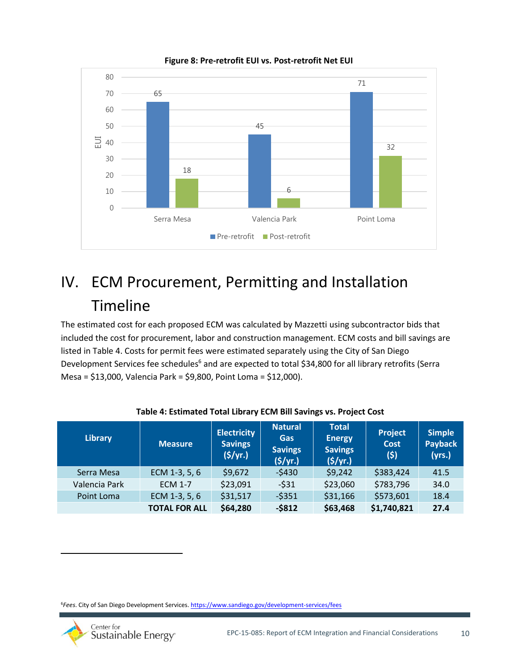

**Figure 8: Pre-retrofit EUI vs. Post-retrofit Net EUI** 

## <span id="page-9-0"></span>IV. ECM Procurement, Permitting and Installation Timeline

The estimated cost for each proposed ECM was calculated by Mazzetti using subcontractor bids that included the cost for procurement, labor and construction management. ECM costs and bill savings are listed in Table 4. Costs for permit fees were estimated separately using the City of San Diego Development Services fee schedules<sup>6</sup> and are expected to total \$34,800 for all library retrofits (Serra Mesa = \$13,000, Valencia Park = \$9,800, Point Loma = \$12,000).

| <b>Library</b> | <b>Measure</b>       | <b>Electricity</b><br><b>Savings</b><br>(S/yr.) | <b>Natural</b><br>Gas<br><b>Savings</b><br>$($ \$/yr. $)$ | <b>Total</b><br><b>Energy</b><br><b>Savings</b><br>(5/yr.) | Project<br><b>Cost</b><br>(5) | <b>Simple</b><br><b>Payback</b><br>(yrs.) |
|----------------|----------------------|-------------------------------------------------|-----------------------------------------------------------|------------------------------------------------------------|-------------------------------|-------------------------------------------|
| Serra Mesa     | ECM 1-3, 5, 6        | \$9,672                                         | $-5430$                                                   | \$9,242                                                    | \$383,424                     | 41.5                                      |
| Valencia Park  | <b>ECM 1-7</b>       | \$23,091                                        | $-531$                                                    | \$23,060                                                   | \$783,796                     | 34.0                                      |
| Point Loma     | ECM 1-3, 5, 6        | \$31,517                                        | $-5351$                                                   | \$31,166                                                   | \$573,601                     | 18.4                                      |
|                | <b>TOTAL FOR ALL</b> | \$64,280                                        | $-5812$                                                   | \$63,468                                                   | \$1,740,821                   | 27.4                                      |

#### **Table 4: Estimated Total Library ECM Bill Savings vs. Project Cost**

<sup>6</sup>*Fees*. City of San Diego Development Services[. https://www.sandiego.gov/development-services/fees](https://www.sandiego.gov/development-services/fees)

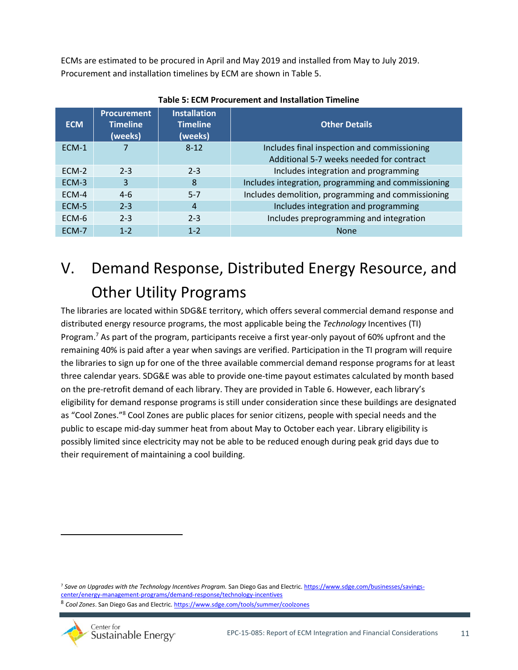ECMs are estimated to be procured in April and May 2019 and installed from May to July 2019. Procurement and installation timelines by ECM are shown in Table 5.

| <b>ECM</b> | <b>Procurement</b><br><b>Timeline</b><br>(weeks) | <b>Installation</b><br><b>Timeline</b><br>(weeks) | <b>Other Details</b>                                |
|------------|--------------------------------------------------|---------------------------------------------------|-----------------------------------------------------|
| ECM-1      |                                                  | $8 - 12$                                          | Includes final inspection and commissioning         |
|            |                                                  |                                                   | Additional 5-7 weeks needed for contract            |
| $FCM-2$    | $2 - 3$                                          | $2 - 3$                                           | Includes integration and programming                |
| ECM-3      | 3                                                | 8                                                 | Includes integration, programming and commissioning |
| ECM-4      | $4-6$                                            | $5 - 7$                                           | Includes demolition, programming and commissioning  |
| ECM-5      | $2 - 3$                                          | $\overline{A}$                                    | Includes integration and programming                |
| ECM-6      | $2 - 3$                                          | $2 - 3$                                           | Includes preprogramming and integration             |
| ECM-7      | $1 - 2$                                          | $1 - 2$                                           | <b>None</b>                                         |

**Table 5: ECM Procurement and Installation Timeline**

## <span id="page-10-0"></span>V. Demand Response, Distributed Energy Resource, and Other Utility Programs

The libraries are located within SDG&E territory, which offers several commercial demand response and distributed energy resource programs, the most applicable being the *Technology* Incentives (TI) Program.<sup>7</sup> As part of the program, participants receive a first year-only payout of 60% upfront and the remaining 40% is paid after a year when savings are verified. Participation in the TI program will require the libraries to sign up for one of the three available commercial demand response programs for at least three calendar years. SDG&E was able to provide one-time payout estimates calculated by month based on the pre-retrofit demand of each library. They are provided in Table 6. However, each library's eligibility for demand response programs is still under consideration since these buildings are designated as "Cool Zones."<sup>8</sup> Cool Zones are public places for senior citizens, people with special needs and the public to escape mid-day summer heat from about May to October each year. Library eligibility is possibly limited since electricity may not be able to be reduced enough during peak grid days due to their requirement of maintaining a cool building.

<sup>&</sup>lt;sup>8</sup> Cool Zones. San Diego Gas and Electric.<https://www.sdge.com/tools/summer/coolzones>



<sup>7</sup> *Save on Upgrades with the Technology Incentives Program.* San Diego Gas and Electric[. https://www.sdge.com/businesses/savings](https://www.sdge.com/businesses/savings-center/energy-management-programs/demand-response/technology-incentives)[center/energy-management-programs/demand-response/technology-incentives](https://www.sdge.com/businesses/savings-center/energy-management-programs/demand-response/technology-incentives)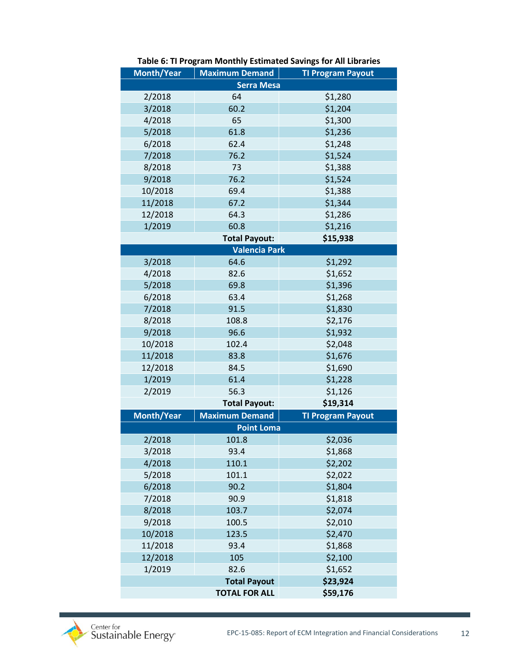| <b>Month/Year</b> | <b>Maximum Demand</b> | <b>TI Program Payout</b> |  |  |  |  |  |
|-------------------|-----------------------|--------------------------|--|--|--|--|--|
| <b>Serra Mesa</b> |                       |                          |  |  |  |  |  |
| 2/2018            | 64                    | \$1,280                  |  |  |  |  |  |
| 3/2018            | 60.2                  | \$1,204                  |  |  |  |  |  |
| 4/2018            | 65                    | \$1,300                  |  |  |  |  |  |
| 5/2018            | 61.8                  | \$1,236                  |  |  |  |  |  |
| 6/2018            | 62.4                  | \$1,248                  |  |  |  |  |  |
| 7/2018            | 76.2                  | \$1,524                  |  |  |  |  |  |
| 8/2018            | 73                    | \$1,388                  |  |  |  |  |  |
| 9/2018            | 76.2                  | \$1,524                  |  |  |  |  |  |
| 10/2018           | 69.4                  | \$1,388                  |  |  |  |  |  |
| 11/2018           | 67.2                  | \$1,344                  |  |  |  |  |  |
| 12/2018           | 64.3                  | \$1,286                  |  |  |  |  |  |
| 1/2019            | 60.8                  | \$1,216                  |  |  |  |  |  |
|                   | <b>Total Payout:</b>  | \$15,938                 |  |  |  |  |  |
|                   | <b>Valencia Park</b>  |                          |  |  |  |  |  |
| 3/2018            | 64.6                  | \$1,292                  |  |  |  |  |  |
| 4/2018            | 82.6                  | \$1,652                  |  |  |  |  |  |
| 5/2018            | 69.8                  | \$1,396                  |  |  |  |  |  |
| 6/2018            | 63.4                  | \$1,268                  |  |  |  |  |  |
| 7/2018            | 91.5                  | \$1,830                  |  |  |  |  |  |
| 8/2018            | 108.8                 | \$2,176                  |  |  |  |  |  |
| 9/2018            | 96.6                  | \$1,932                  |  |  |  |  |  |
| 10/2018           | 102.4                 | \$2,048                  |  |  |  |  |  |
| 11/2018           | 83.8                  | \$1,676                  |  |  |  |  |  |
| 12/2018           | 84.5                  | \$1,690                  |  |  |  |  |  |
| 1/2019            | 61.4                  | \$1,228                  |  |  |  |  |  |
| 2/2019            | 56.3                  | \$1,126                  |  |  |  |  |  |
|                   | <b>Total Payout:</b>  | \$19,314                 |  |  |  |  |  |
| Month/Year        | <b>Maximum Demand</b> | <b>TI Program Payout</b> |  |  |  |  |  |
|                   | <b>Point Loma</b>     |                          |  |  |  |  |  |
| 2/2018            | 101.8                 | \$2,036                  |  |  |  |  |  |
| 3/2018            | 93.4                  | \$1,868                  |  |  |  |  |  |
| 4/2018            | 110.1                 | \$2,202                  |  |  |  |  |  |
| 5/2018            | 101.1                 | \$2,022                  |  |  |  |  |  |
| 6/2018            | 90.2                  | \$1,804                  |  |  |  |  |  |
| 7/2018            | 90.9                  | \$1,818                  |  |  |  |  |  |
| 8/2018            | 103.7                 | \$2,074                  |  |  |  |  |  |
| 9/2018            | 100.5                 | \$2,010                  |  |  |  |  |  |
| 10/2018           | 123.5                 | \$2,470                  |  |  |  |  |  |
| 11/2018           | 93.4                  | \$1,868                  |  |  |  |  |  |
| 12/2018           | 105                   | \$2,100                  |  |  |  |  |  |
| 1/2019            | 82.6                  | \$1,652                  |  |  |  |  |  |
|                   | <b>Total Payout</b>   | \$23,924                 |  |  |  |  |  |
|                   | <b>TOTAL FOR ALL</b>  | \$59,176                 |  |  |  |  |  |

#### **Table 6: TI Program Monthly Estimated Savings for All Libraries**

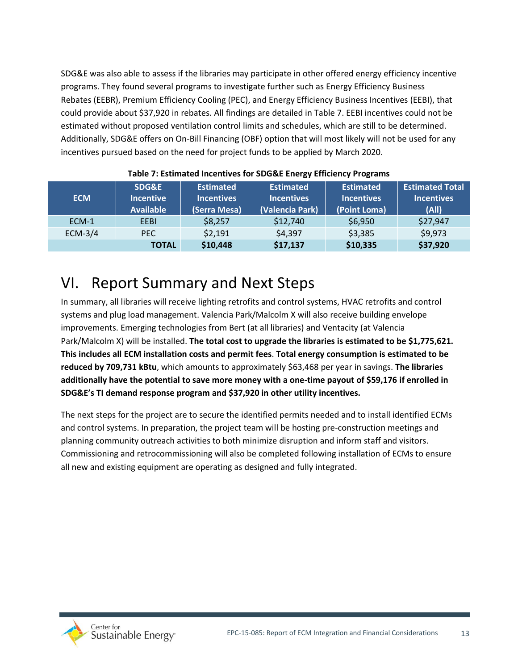<span id="page-12-0"></span>SDG&E was also able to assess if the libraries may participate in other offered energy efficiency incentive programs. They found several programs to investigate further such as Energy Efficiency Business Rebates (EEBR), Premium Efficiency Cooling (PEC), and Energy Efficiency Business Incentives (EEBI), that could provide about \$37,920 in rebates. All findings are detailed in Table 7. EEBI incentives could not be estimated without proposed ventilation control limits and schedules, which are still to be determined. Additionally, SDG&E offers on On-Bill Financing (OBF) option that will most likely will not be used for any incentives pursued based on the need for project funds to be applied by March 2020.

| <b>ECM</b> | SDG&E<br><b>Incentive</b><br><b>Available</b> | <b>Estimated</b><br><b>Incentives</b><br>(Serra Mesa) | <b>Estimated</b><br><b>Incentives</b><br>(Valencia Park) | <b>Estimated</b><br><b>Incentives</b><br>(Point Loma) | <b>Estimated Total</b><br><b>Incentives</b><br>(A  ) |
|------------|-----------------------------------------------|-------------------------------------------------------|----------------------------------------------------------|-------------------------------------------------------|------------------------------------------------------|
| ECM-1      | EEBI                                          | \$8,257                                               | \$12,740                                                 | \$6,950                                               | \$27,947                                             |
| ECM-3/4    | PEC.                                          | \$2,191                                               | \$4,397                                                  | \$3,385                                               | \$9,973                                              |
|            | <b>TOTAL</b>                                  | \$10,448                                              | \$17,137                                                 | \$10,335                                              | \$37,920                                             |

#### **Table 7: Estimated Incentives for SDG&E Energy Efficiency Programs**

## VI. Report Summary and Next Steps

In summary, all libraries will receive lighting retrofits and control systems, HVAC retrofits and control systems and plug load management. Valencia Park/Malcolm X will also receive building envelope improvements. Emerging technologies from Bert (at all libraries) and Ventacity (at Valencia Park/Malcolm X) will be installed. **The total cost to upgrade the libraries is estimated to be \$1,775,621. This includes all ECM installation costs and permit fees**. **Total energy consumption is estimated to be reduced by 709,731 kBtu**, which amounts to approximately \$63,468 per year in savings. **The libraries additionally have the potential to save more money with a one-time payout of \$59,176 if enrolled in SDG&E's TI demand response program and \$37,920 in other utility incentives.**

The next steps for the project are to secure the identified permits needed and to install identified ECMs and control systems. In preparation, the project team will be hosting pre-construction meetings and planning community outreach activities to both minimize disruption and inform staff and visitors. Commissioning and retrocommissioning will also be completed following installation of ECMs to ensure all new and existing equipment are operating as designed and fully integrated.